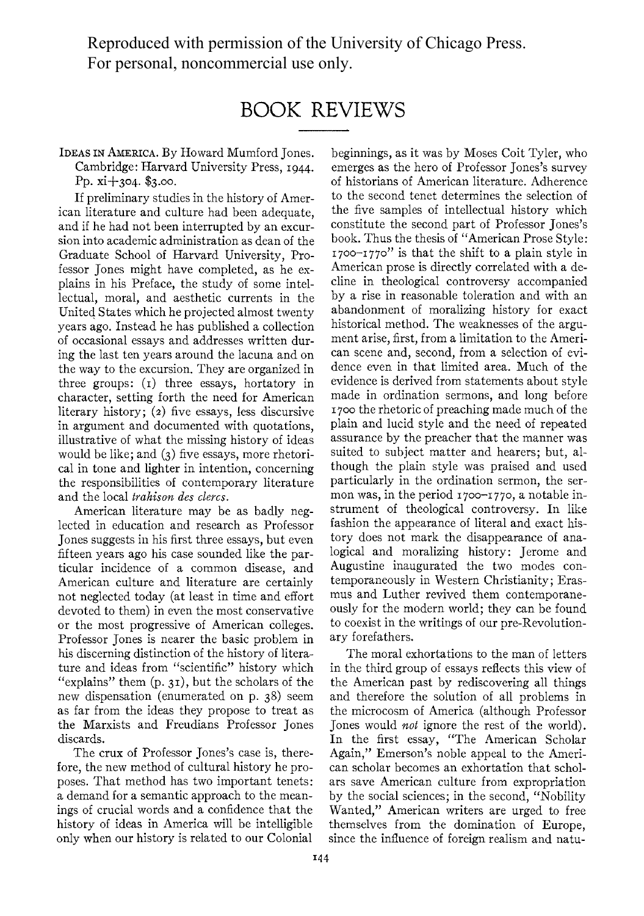Reproduced with permission of the University of Chicago Press. For personal, noncommercial use only.

## **BOOK REVIEWS**

**IDEAS IN AMERICA. By Howard Mumford Jones. Cambridge: Harvard University Press, I944. pp. xi+304. \$3.00.** 

**If preliminary studies in the history of American literature and culture had been adequate, and if he had not been interrupted by an excursion into academic administration as dean of the Graduate School of Harvard University, Professor Jones might have completed, as he explains in his Preface, the study of some intellectual, moral, and aesthetic currents in the United States which he projected almost twenty years ago. Instead he has published a collection of occasional essays and addresses written during the last ten years around the lacuna and on the way to the excursion. They are organized in three groups: (i) three essays, hortatory in character, setting forth the need for American literary history; (2) five essays, less discursive in argument and documented with quotations, illustrative of what the missing history of ideas would be like; and (3) five essays, more rhetorical in tone and lighter in intention, concerning the responsibilities of contemporary literature**  and the local *trahison des clercs*.

**American literature may be as badly neglected in education and research as Professor Jones suggests in his first three essays, but even fifteen years ago his case sounded like the particular incidence of a common disease, and American culture and literature are certainly not neglected today (at least in time and effort devoted to them) in even the most conservative or the most progressive of American colleges. Professor Jones is nearer the basic problem in his discerning distinction of the history of literature and ideas from "scientific" history which "explains" them (p. 31), but the scholars of the new dispensation (enumerated on p. 38) seem as far from the ideas they propose to treat as the Marxists and Freudians Professor Jones discards.** 

**The crux of Professor Jones's case is, therefore, the new method of cultural history he proposes. That method has two important tenets: a demand for a semantic approach to the meanings of crucial words and a confidence that the history of ideas in America will be intelligible only when our history is related to our Colonial** 

**beginnings, as it was by Moses Coit Tyler, who emerges as the hero of Professor Jones's survey of historians of American literature. Adherence to the second tenet determines the selection of the five samples of intellectual history which constitute the second part of Professor Jones's book. Thus the thesis of "American Prose Style: I700-I770" is that the shift to a plain style in American prose is directly correlated with a decline in theological controversy accompanied by a rise in reasonable toleration and with an abandonment of moralizing history for exact historical method. The weaknesses of the argument arise, first, from a limitation to the American scene and, second, from a selection of evidence even in that limited area. Much of the evidence is derived from statements about style made in ordination sermons, and long before I 700 the rhetoric of preaching made much of the plain and lucid style and the need of repeated assurance by the preacher that the manner was suited to subject matter and hearers; but, although the plain style was praised and used particularly in the ordination sermon, the sermon was, in the period I700-I770, a notable instrument of theological controversy. In like fashion the appearance of literal and exact history does not mark the disappearance of analogical and moralizing history: Jerome and Augustine inaugurated the two modes contemporaneously in Western Christianity; Erasmus and Luther revived them contemporaneously for the modern world; they can be found to coexist in the writings of our pre-Revolutionary forefathers.** 

**The moral exhortations to the man of letters in the third group of essays reflects this view of the American past by rediscovering all things and therefore the solution of all problems in the microcosm of America (although Professor Jones would not ignore the rest of the world). In the first essay, "The American Scholar Again," Emerson's noble appeal to the American scholar becomes an exhortation that scholars save American culture from expropriation by the social sciences; in the second, "Nobility Wanted," American writers are urged to free themselves from the domination of Europe, since the influence of foreign realism and natu-**